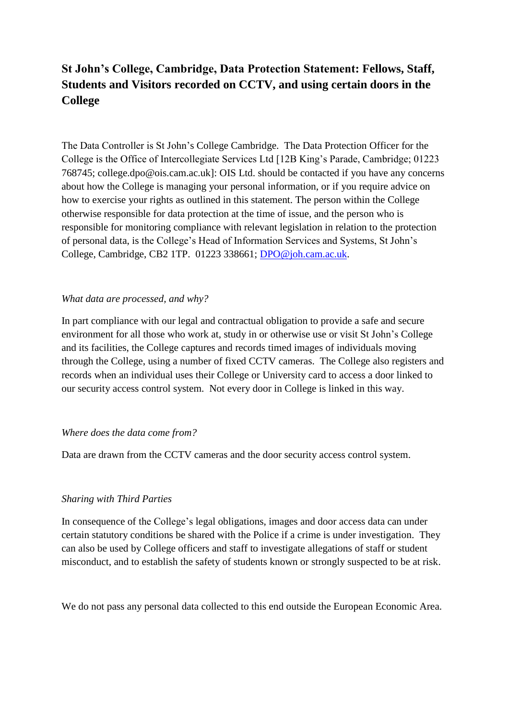# **St John's College, Cambridge, Data Protection Statement: Fellows, Staff, Students and Visitors recorded on CCTV, and using certain doors in the College**

The Data Controller is St John's College Cambridge. The Data Protection Officer for the College is the Office of Intercollegiate Services Ltd [12B King's Parade, Cambridge; 01223 768745; college.dpo@ois.cam.ac.uk]: OIS Ltd. should be contacted if you have any concerns about how the College is managing your personal information, or if you require advice on how to exercise your rights as outlined in this statement. The person within the College otherwise responsible for data protection at the time of issue, and the person who is responsible for monitoring compliance with relevant legislation in relation to the protection of personal data, is the College's Head of Information Services and Systems, St John's College, Cambridge, CB2 1TP. 01223 338661; [DPO@joh.cam.ac.uk.](mailto:DPO@joh.cam.ac.uk)

#### *What data are processed, and why?*

In part compliance with our legal and contractual obligation to provide a safe and secure environment for all those who work at, study in or otherwise use or visit St John's College and its facilities, the College captures and records timed images of individuals moving through the College, using a number of fixed CCTV cameras. The College also registers and records when an individual uses their College or University card to access a door linked to our security access control system. Not every door in College is linked in this way.

#### *Where does the data come from?*

Data are drawn from the CCTV cameras and the door security access control system.

## *Sharing with Third Parties*

In consequence of the College's legal obligations, images and door access data can under certain statutory conditions be shared with the Police if a crime is under investigation. They can also be used by College officers and staff to investigate allegations of staff or student misconduct, and to establish the safety of students known or strongly suspected to be at risk.

We do not pass any personal data collected to this end outside the European Economic Area.